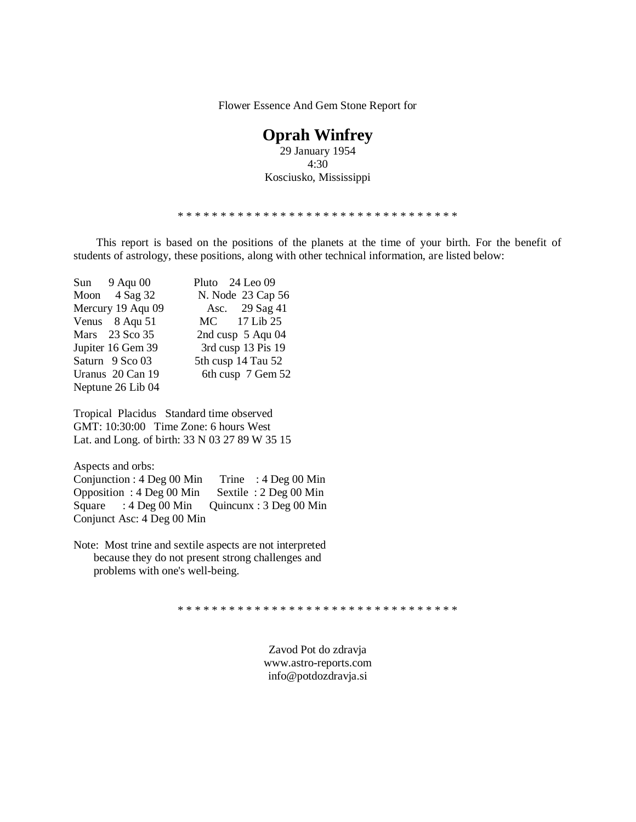Flower Essence And Gem Stone Report for

# **Oprah Winfrey**

29 January 1954 4:30 Kosciusko, Mississippi

\* \* \* \* \* \* \* \* \* \* \* \* \* \* \* \* \* \* \* \* \* \* \* \* \* \* \* \* \* \* \* \* \*

 This report is based on the positions of the planets at the time of your birth. For the benefit of students of astrology, these positions, along with other technical information, are listed below:

| Sun 9 Aqu 00      | Pluto 24 Leo 09    |
|-------------------|--------------------|
| Moon $4$ Sag 32   | N. Node 23 Cap 56  |
| Mercury 19 Aqu 09 | Asc. 29 Sag 41     |
| Venus 8 Aqu 51    | MC 17 Lib 25       |
| Mars 23 Sco 35    | 2nd cusp 5 Aqu 04  |
| Jupiter 16 Gem 39 | 3rd cusp 13 Pis 19 |
| Saturn 9 Sco 03   | 5th cusp 14 Tau 52 |
| Uranus 20 Can 19  | 6th cusp 7 Gem 52  |
| Neptune 26 Lib 04 |                    |

Tropical Placidus Standard time observed GMT: 10:30:00 Time Zone: 6 hours West Lat. and Long. of birth: 33 N 03 27 89 W 35 15

Aspects and orbs:

Conjunction : 4 Deg 00 Min Trine : 4 Deg 00 Min Opposition : 4 Deg 00 Min Sextile : 2 Deg 00 Min Square : 4 Deg 00 Min Quincunx : 3 Deg 00 Min Conjunct Asc: 4 Deg 00 Min

Note: Most trine and sextile aspects are not interpreted because they do not present strong challenges and problems with one's well-being.

\* \* \* \* \* \* \* \* \* \* \* \* \* \* \* \* \* \* \* \* \* \* \* \* \* \* \* \* \* \* \* \* \*

Zavod Pot do zdravja <www.astro-reports.com> info@potdozdravja.si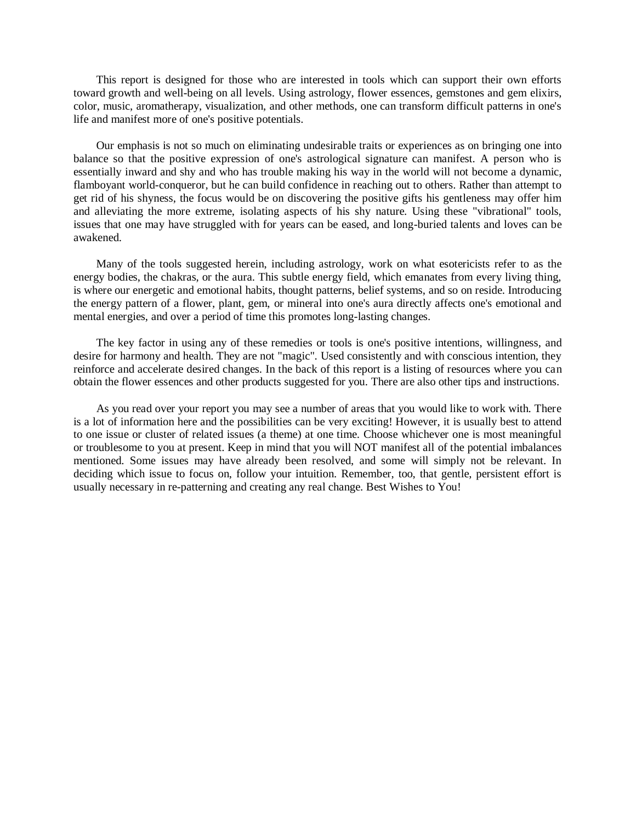This report is designed for those who are interested in tools which can support their own efforts toward growth and well-being on all levels. Using astrology, flower essences, gemstones and gem elixirs, color, music, aromatherapy, visualization, and other methods, one can transform difficult patterns in one's life and manifest more of one's positive potentials.

 Our emphasis is not so much on eliminating undesirable traits or experiences as on bringing one into balance so that the positive expression of one's astrological signature can manifest. A person who is essentially inward and shy and who has trouble making his way in the world will not become a dynamic, flamboyant world-conqueror, but he can build confidence in reaching out to others. Rather than attempt to get rid of his shyness, the focus would be on discovering the positive gifts his gentleness may offer him and alleviating the more extreme, isolating aspects of his shy nature. Using these "vibrational" tools, issues that one may have struggled with for years can be eased, and long-buried talents and loves can be awakened.

 Many of the tools suggested herein, including astrology, work on what esotericists refer to as the energy bodies, the chakras, or the aura. This subtle energy field, which emanates from every living thing, is where our energetic and emotional habits, thought patterns, belief systems, and so on reside. Introducing the energy pattern of a flower, plant, gem, or mineral into one's aura directly affects one's emotional and mental energies, and over a period of time this promotes long-lasting changes.

 The key factor in using any of these remedies or tools is one's positive intentions, willingness, and desire for harmony and health. They are not "magic". Used consistently and with conscious intention, they reinforce and accelerate desired changes. In the back of this report is a listing of resources where you can obtain the flower essences and other products suggested for you. There are also other tips and instructions.

 As you read over your report you may see a number of areas that you would like to work with. There is a lot of information here and the possibilities can be very exciting! However, it is usually best to attend to one issue or cluster of related issues (a theme) at one time. Choose whichever one is most meaningful or troublesome to you at present. Keep in mind that you will NOT manifest all of the potential imbalances mentioned. Some issues may have already been resolved, and some will simply not be relevant. In deciding which issue to focus on, follow your intuition. Remember, too, that gentle, persistent effort is usually necessary in re-patterning and creating any real change. Best Wishes to You!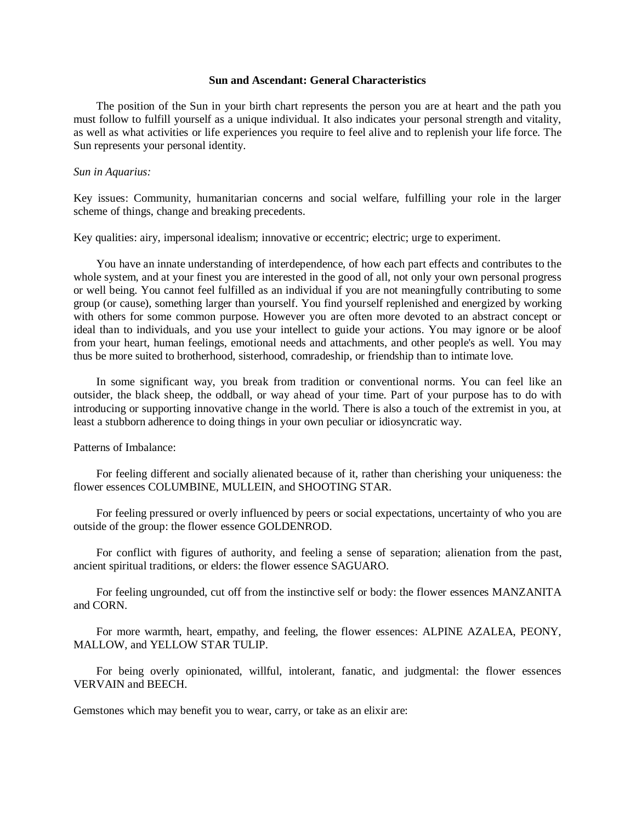### **Sun and Ascendant: General Characteristics**

 The position of the Sun in your birth chart represents the person you are at heart and the path you must follow to fulfill yourself as a unique individual. It also indicates your personal strength and vitality, as well as what activities or life experiences you require to feel alive and to replenish your life force. The Sun represents your personal identity.

#### *Sun in Aquarius:*

Key issues: Community, humanitarian concerns and social welfare, fulfilling your role in the larger scheme of things, change and breaking precedents.

Key qualities: airy, impersonal idealism; innovative or eccentric; electric; urge to experiment.

 You have an innate understanding of interdependence, of how each part effects and contributes to the whole system, and at your finest you are interested in the good of all, not only your own personal progress or well being. You cannot feel fulfilled as an individual if you are not meaningfully contributing to some group (or cause), something larger than yourself. You find yourself replenished and energized by working with others for some common purpose. However you are often more devoted to an abstract concept or ideal than to individuals, and you use your intellect to guide your actions. You may ignore or be aloof from your heart, human feelings, emotional needs and attachments, and other people's as well. You may thus be more suited to brotherhood, sisterhood, comradeship, or friendship than to intimate love.

 In some significant way, you break from tradition or conventional norms. You can feel like an outsider, the black sheep, the oddball, or way ahead of your time. Part of your purpose has to do with introducing or supporting innovative change in the world. There is also a touch of the extremist in you, at least a stubborn adherence to doing things in your own peculiar or idiosyncratic way.

Patterns of Imbalance:

 For feeling different and socially alienated because of it, rather than cherishing your uniqueness: the flower essences COLUMBINE, MULLEIN, and SHOOTING STAR.

 For feeling pressured or overly influenced by peers or social expectations, uncertainty of who you are outside of the group: the flower essence GOLDENROD.

 For conflict with figures of authority, and feeling a sense of separation; alienation from the past, ancient spiritual traditions, or elders: the flower essence SAGUARO.

 For feeling ungrounded, cut off from the instinctive self or body: the flower essences MANZANITA and CORN.

 For more warmth, heart, empathy, and feeling, the flower essences: ALPINE AZALEA, PEONY, MALLOW, and YELLOW STAR TULIP.

 For being overly opinionated, willful, intolerant, fanatic, and judgmental: the flower essences VERVAIN and BEECH.

Gemstones which may benefit you to wear, carry, or take as an elixir are: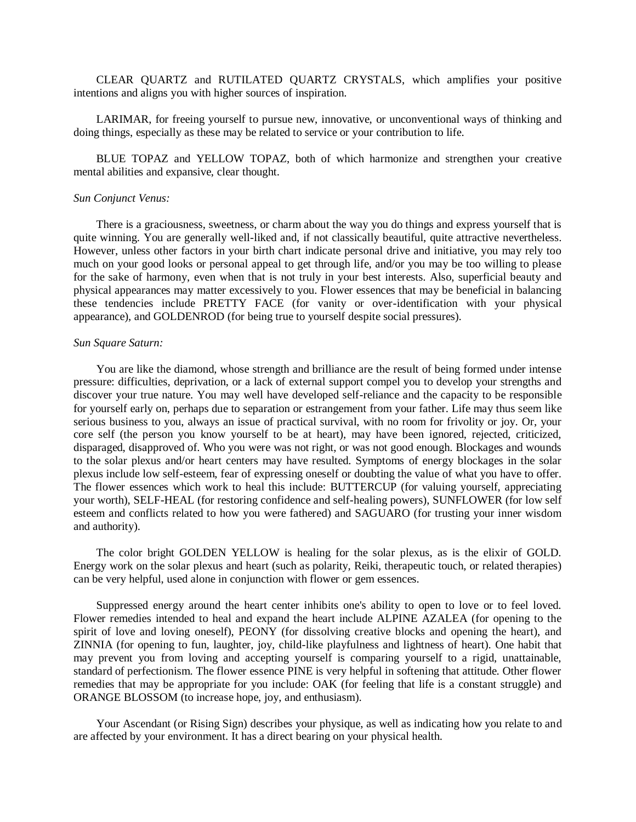CLEAR QUARTZ and RUTILATED QUARTZ CRYSTALS, which amplifies your positive intentions and aligns you with higher sources of inspiration.

 LARIMAR, for freeing yourself to pursue new, innovative, or unconventional ways of thinking and doing things, especially as these may be related to service or your contribution to life.

 BLUE TOPAZ and YELLOW TOPAZ, both of which harmonize and strengthen your creative mental abilities and expansive, clear thought.

#### *Sun Conjunct Venus:*

 There is a graciousness, sweetness, or charm about the way you do things and express yourself that is quite winning. You are generally well-liked and, if not classically beautiful, quite attractive nevertheless. However, unless other factors in your birth chart indicate personal drive and initiative, you may rely too much on your good looks or personal appeal to get through life, and/or you may be too willing to please for the sake of harmony, even when that is not truly in your best interests. Also, superficial beauty and physical appearances may matter excessively to you. Flower essences that may be beneficial in balancing these tendencies include PRETTY FACE (for vanity or over-identification with your physical appearance), and GOLDENROD (for being true to yourself despite social pressures).

#### *Sun Square Saturn:*

 You are like the diamond, whose strength and brilliance are the result of being formed under intense pressure: difficulties, deprivation, or a lack of external support compel you to develop your strengths and discover your true nature. You may well have developed self-reliance and the capacity to be responsible for yourself early on, perhaps due to separation or estrangement from your father. Life may thus seem like serious business to you, always an issue of practical survival, with no room for frivolity or joy. Or, your core self (the person you know yourself to be at heart), may have been ignored, rejected, criticized, disparaged, disapproved of. Who you were was not right, or was not good enough. Blockages and wounds to the solar plexus and/or heart centers may have resulted. Symptoms of energy blockages in the solar plexus include low self-esteem, fear of expressing oneself or doubting the value of what you have to offer. The flower essences which work to heal this include: BUTTERCUP (for valuing yourself, appreciating your worth), SELF-HEAL (for restoring confidence and self-healing powers), SUNFLOWER (for low self esteem and conflicts related to how you were fathered) and SAGUARO (for trusting your inner wisdom and authority).

 The color bright GOLDEN YELLOW is healing for the solar plexus, as is the elixir of GOLD. Energy work on the solar plexus and heart (such as polarity, Reiki, therapeutic touch, or related therapies) can be very helpful, used alone in conjunction with flower or gem essences.

 Suppressed energy around the heart center inhibits one's ability to open to love or to feel loved. Flower remedies intended to heal and expand the heart include ALPINE AZALEA (for opening to the spirit of love and loving oneself), PEONY (for dissolving creative blocks and opening the heart), and ZINNIA (for opening to fun, laughter, joy, child-like playfulness and lightness of heart). One habit that may prevent you from loving and accepting yourself is comparing yourself to a rigid, unattainable, standard of perfectionism. The flower essence PINE is very helpful in softening that attitude. Other flower remedies that may be appropriate for you include: OAK (for feeling that life is a constant struggle) and ORANGE BLOSSOM (to increase hope, joy, and enthusiasm).

 Your Ascendant (or Rising Sign) describes your physique, as well as indicating how you relate to and are affected by your environment. It has a direct bearing on your physical health.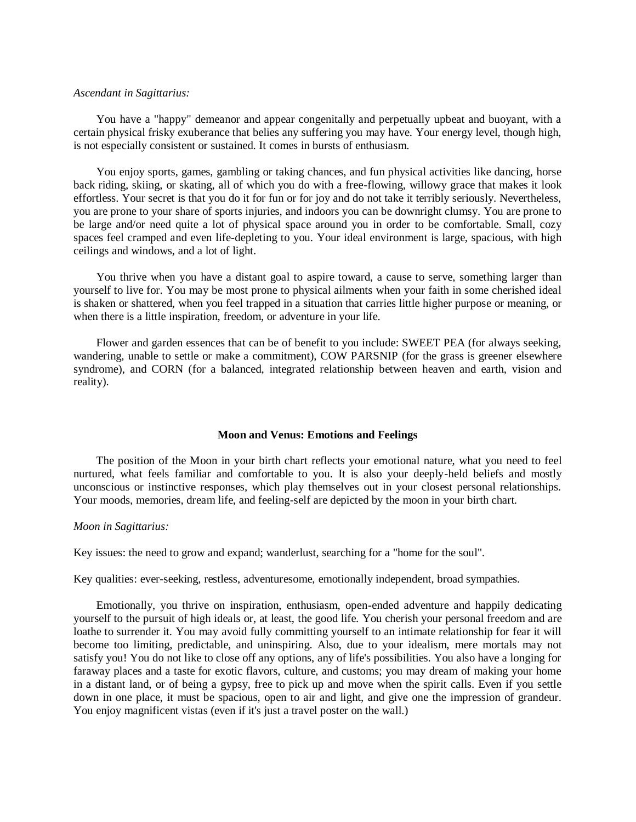#### *Ascendant in Sagittarius:*

 You have a "happy" demeanor and appear congenitally and perpetually upbeat and buoyant, with a certain physical frisky exuberance that belies any suffering you may have. Your energy level, though high, is not especially consistent or sustained. It comes in bursts of enthusiasm.

 You enjoy sports, games, gambling or taking chances, and fun physical activities like dancing, horse back riding, skiing, or skating, all of which you do with a free-flowing, willowy grace that makes it look effortless. Your secret is that you do it for fun or for joy and do not take it terribly seriously. Nevertheless, you are prone to your share of sports injuries, and indoors you can be downright clumsy. You are prone to be large and/or need quite a lot of physical space around you in order to be comfortable. Small, cozy spaces feel cramped and even life-depleting to you. Your ideal environment is large, spacious, with high ceilings and windows, and a lot of light.

 You thrive when you have a distant goal to aspire toward, a cause to serve, something larger than yourself to live for. You may be most prone to physical ailments when your faith in some cherished ideal is shaken or shattered, when you feel trapped in a situation that carries little higher purpose or meaning, or when there is a little inspiration, freedom, or adventure in your life.

 Flower and garden essences that can be of benefit to you include: SWEET PEA (for always seeking, wandering, unable to settle or make a commitment), COW PARSNIP (for the grass is greener elsewhere syndrome), and CORN (for a balanced, integrated relationship between heaven and earth, vision and reality).

#### **Moon and Venus: Emotions and Feelings**

 The position of the Moon in your birth chart reflects your emotional nature, what you need to feel nurtured, what feels familiar and comfortable to you. It is also your deeply-held beliefs and mostly unconscious or instinctive responses, which play themselves out in your closest personal relationships. Your moods, memories, dream life, and feeling-self are depicted by the moon in your birth chart.

#### *Moon in Sagittarius:*

Key issues: the need to grow and expand; wanderlust, searching for a "home for the soul".

Key qualities: ever-seeking, restless, adventuresome, emotionally independent, broad sympathies.

 Emotionally, you thrive on inspiration, enthusiasm, open-ended adventure and happily dedicating yourself to the pursuit of high ideals or, at least, the good life. You cherish your personal freedom and are loathe to surrender it. You may avoid fully committing yourself to an intimate relationship for fear it will become too limiting, predictable, and uninspiring. Also, due to your idealism, mere mortals may not satisfy you! You do not like to close off any options, any of life's possibilities. You also have a longing for faraway places and a taste for exotic flavors, culture, and customs; you may dream of making your home in a distant land, or of being a gypsy, free to pick up and move when the spirit calls. Even if you settle down in one place, it must be spacious, open to air and light, and give one the impression of grandeur. You enjoy magnificent vistas (even if it's just a travel poster on the wall.)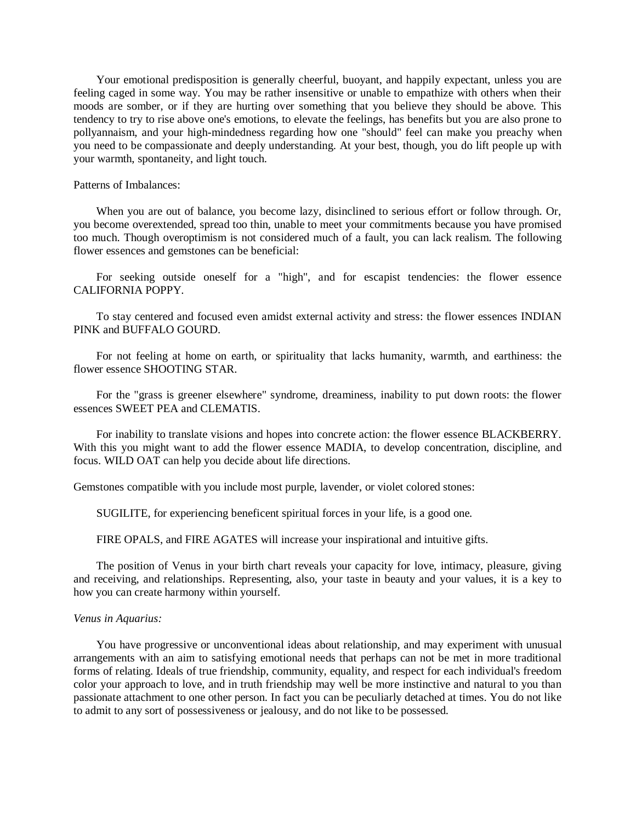Your emotional predisposition is generally cheerful, buoyant, and happily expectant, unless you are feeling caged in some way. You may be rather insensitive or unable to empathize with others when their moods are somber, or if they are hurting over something that you believe they should be above. This tendency to try to rise above one's emotions, to elevate the feelings, has benefits but you are also prone to pollyannaism, and your high-mindedness regarding how one "should" feel can make you preachy when you need to be compassionate and deeply understanding. At your best, though, you do lift people up with your warmth, spontaneity, and light touch.

#### Patterns of Imbalances:

 When you are out of balance, you become lazy, disinclined to serious effort or follow through. Or, you become overextended, spread too thin, unable to meet your commitments because you have promised too much. Though overoptimism is not considered much of a fault, you can lack realism. The following flower essences and gemstones can be beneficial:

 For seeking outside oneself for a "high", and for escapist tendencies: the flower essence CALIFORNIA POPPY.

 To stay centered and focused even amidst external activity and stress: the flower essences INDIAN PINK and BUFFALO GOURD.

 For not feeling at home on earth, or spirituality that lacks humanity, warmth, and earthiness: the flower essence SHOOTING STAR.

 For the "grass is greener elsewhere" syndrome, dreaminess, inability to put down roots: the flower essences SWEET PEA and CLEMATIS.

 For inability to translate visions and hopes into concrete action: the flower essence BLACKBERRY. With this you might want to add the flower essence MADIA, to develop concentration, discipline, and focus. WILD OAT can help you decide about life directions.

Gemstones compatible with you include most purple, lavender, or violet colored stones:

SUGILITE, for experiencing beneficent spiritual forces in your life, is a good one.

FIRE OPALS, and FIRE AGATES will increase your inspirational and intuitive gifts.

 The position of Venus in your birth chart reveals your capacity for love, intimacy, pleasure, giving and receiving, and relationships. Representing, also, your taste in beauty and your values, it is a key to how you can create harmony within yourself.

#### *Venus in Aquarius:*

 You have progressive or unconventional ideas about relationship, and may experiment with unusual arrangements with an aim to satisfying emotional needs that perhaps can not be met in more traditional forms of relating. Ideals of true friendship, community, equality, and respect for each individual's freedom color your approach to love, and in truth friendship may well be more instinctive and natural to you than passionate attachment to one other person. In fact you can be peculiarly detached at times. You do not like to admit to any sort of possessiveness or jealousy, and do not like to be possessed.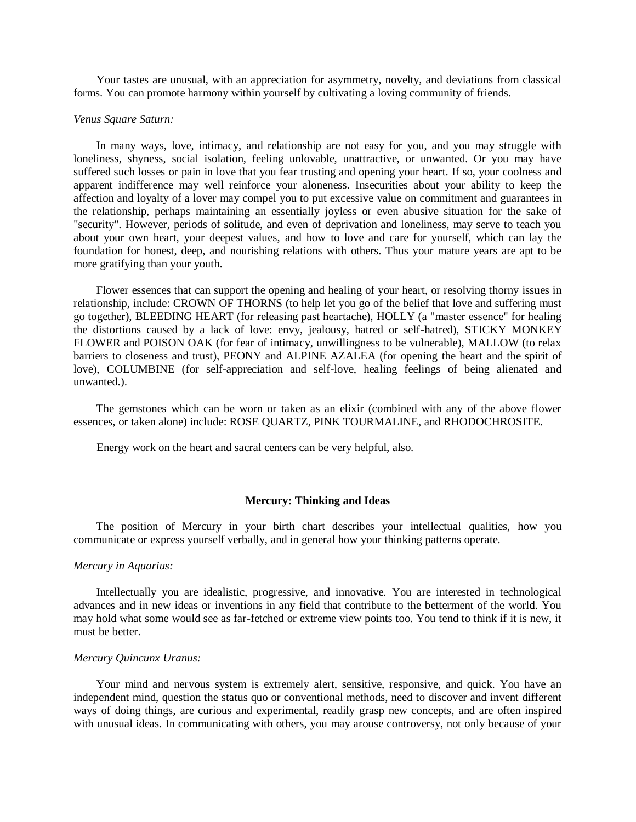Your tastes are unusual, with an appreciation for asymmetry, novelty, and deviations from classical forms. You can promote harmony within yourself by cultivating a loving community of friends.

## *Venus Square Saturn:*

 In many ways, love, intimacy, and relationship are not easy for you, and you may struggle with loneliness, shyness, social isolation, feeling unlovable, unattractive, or unwanted. Or you may have suffered such losses or pain in love that you fear trusting and opening your heart. If so, your coolness and apparent indifference may well reinforce your aloneness. Insecurities about your ability to keep the affection and loyalty of a lover may compel you to put excessive value on commitment and guarantees in the relationship, perhaps maintaining an essentially joyless or even abusive situation for the sake of "security". However, periods of solitude, and even of deprivation and loneliness, may serve to teach you about your own heart, your deepest values, and how to love and care for yourself, which can lay the foundation for honest, deep, and nourishing relations with others. Thus your mature years are apt to be more gratifying than your youth.

 Flower essences that can support the opening and healing of your heart, or resolving thorny issues in relationship, include: CROWN OF THORNS (to help let you go of the belief that love and suffering must go together), BLEEDING HEART (for releasing past heartache), HOLLY (a "master essence" for healing the distortions caused by a lack of love: envy, jealousy, hatred or self-hatred), STICKY MONKEY FLOWER and POISON OAK (for fear of intimacy, unwillingness to be vulnerable), MALLOW (to relax barriers to closeness and trust), PEONY and ALPINE AZALEA (for opening the heart and the spirit of love), COLUMBINE (for self-appreciation and self-love, healing feelings of being alienated and unwanted.).

 The gemstones which can be worn or taken as an elixir (combined with any of the above flower essences, or taken alone) include: ROSE QUARTZ, PINK TOURMALINE, and RHODOCHROSITE.

Energy work on the heart and sacral centers can be very helpful, also.

#### **Mercury: Thinking and Ideas**

 The position of Mercury in your birth chart describes your intellectual qualities, how you communicate or express yourself verbally, and in general how your thinking patterns operate.

# *Mercury in Aquarius:*

 Intellectually you are idealistic, progressive, and innovative. You are interested in technological advances and in new ideas or inventions in any field that contribute to the betterment of the world. You may hold what some would see as far-fetched or extreme view points too. You tend to think if it is new, it must be better.

#### *Mercury Quincunx Uranus:*

 Your mind and nervous system is extremely alert, sensitive, responsive, and quick. You have an independent mind, question the status quo or conventional methods, need to discover and invent different ways of doing things, are curious and experimental, readily grasp new concepts, and are often inspired with unusual ideas. In communicating with others, you may arouse controversy, not only because of your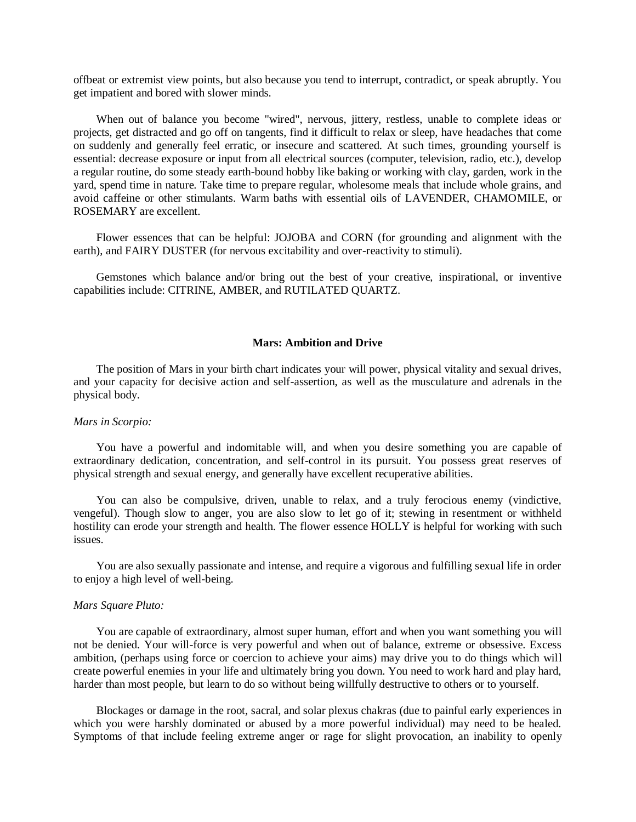offbeat or extremist view points, but also because you tend to interrupt, contradict, or speak abruptly. You get impatient and bored with slower minds.

 When out of balance you become "wired", nervous, jittery, restless, unable to complete ideas or projects, get distracted and go off on tangents, find it difficult to relax or sleep, have headaches that come on suddenly and generally feel erratic, or insecure and scattered. At such times, grounding yourself is essential: decrease exposure or input from all electrical sources (computer, television, radio, etc.), develop a regular routine, do some steady earth-bound hobby like baking or working with clay, garden, work in the yard, spend time in nature. Take time to prepare regular, wholesome meals that include whole grains, and avoid caffeine or other stimulants. Warm baths with essential oils of LAVENDER, CHAMOMILE, or ROSEMARY are excellent.

 Flower essences that can be helpful: JOJOBA and CORN (for grounding and alignment with the earth), and FAIRY DUSTER (for nervous excitability and over-reactivity to stimuli).

 Gemstones which balance and/or bring out the best of your creative, inspirational, or inventive capabilities include: CITRINE, AMBER, and RUTILATED QUARTZ.

#### **Mars: Ambition and Drive**

 The position of Mars in your birth chart indicates your will power, physical vitality and sexual drives, and your capacity for decisive action and self-assertion, as well as the musculature and adrenals in the physical body.

#### *Mars in Scorpio:*

 You have a powerful and indomitable will, and when you desire something you are capable of extraordinary dedication, concentration, and self-control in its pursuit. You possess great reserves of physical strength and sexual energy, and generally have excellent recuperative abilities.

 You can also be compulsive, driven, unable to relax, and a truly ferocious enemy (vindictive, vengeful). Though slow to anger, you are also slow to let go of it; stewing in resentment or withheld hostility can erode your strength and health. The flower essence HOLLY is helpful for working with such issues.

 You are also sexually passionate and intense, and require a vigorous and fulfilling sexual life in order to enjoy a high level of well-being.

#### *Mars Square Pluto:*

 You are capable of extraordinary, almost super human, effort and when you want something you will not be denied. Your will-force is very powerful and when out of balance, extreme or obsessive. Excess ambition, (perhaps using force or coercion to achieve your aims) may drive you to do things which will create powerful enemies in your life and ultimately bring you down. You need to work hard and play hard, harder than most people, but learn to do so without being willfully destructive to others or to yourself.

 Blockages or damage in the root, sacral, and solar plexus chakras (due to painful early experiences in which you were harshly dominated or abused by a more powerful individual) may need to be healed. Symptoms of that include feeling extreme anger or rage for slight provocation, an inability to openly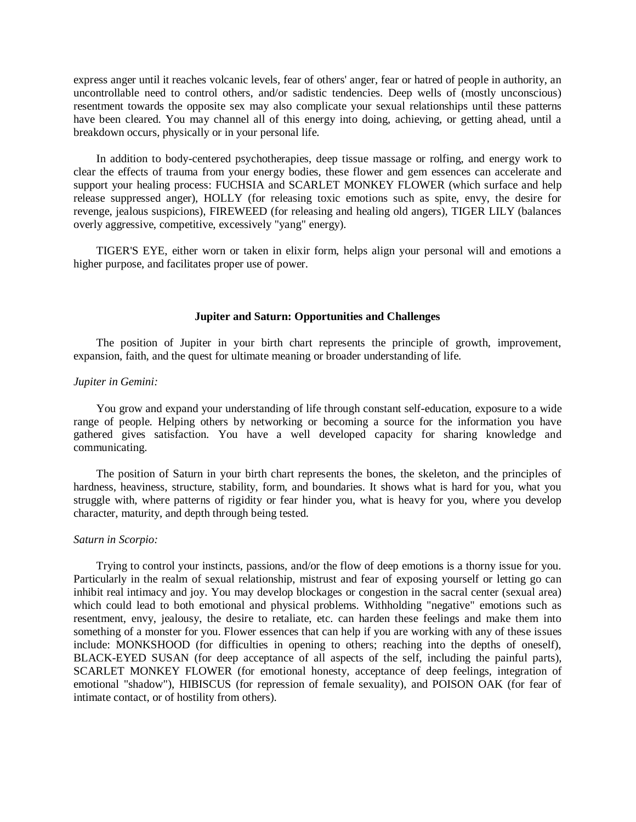express anger until it reaches volcanic levels, fear of others' anger, fear or hatred of people in authority, an uncontrollable need to control others, and/or sadistic tendencies. Deep wells of (mostly unconscious) resentment towards the opposite sex may also complicate your sexual relationships until these patterns have been cleared. You may channel all of this energy into doing, achieving, or getting ahead, until a breakdown occurs, physically or in your personal life.

 In addition to body-centered psychotherapies, deep tissue massage or rolfing, and energy work to clear the effects of trauma from your energy bodies, these flower and gem essences can accelerate and support your healing process: FUCHSIA and SCARLET MONKEY FLOWER (which surface and help release suppressed anger), HOLLY (for releasing toxic emotions such as spite, envy, the desire for revenge, jealous suspicions), FIREWEED (for releasing and healing old angers), TIGER LILY (balances overly aggressive, competitive, excessively "yang" energy).

 TIGER'S EYE, either worn or taken in elixir form, helps align your personal will and emotions a higher purpose, and facilitates proper use of power.

#### **Jupiter and Saturn: Opportunities and Challenges**

 The position of Jupiter in your birth chart represents the principle of growth, improvement, expansion, faith, and the quest for ultimate meaning or broader understanding of life.

# *Jupiter in Gemini:*

 You grow and expand your understanding of life through constant self-education, exposure to a wide range of people. Helping others by networking or becoming a source for the information you have gathered gives satisfaction. You have a well developed capacity for sharing knowledge and communicating.

 The position of Saturn in your birth chart represents the bones, the skeleton, and the principles of hardness, heaviness, structure, stability, form, and boundaries. It shows what is hard for you, what you struggle with, where patterns of rigidity or fear hinder you, what is heavy for you, where you develop character, maturity, and depth through being tested.

#### *Saturn in Scorpio:*

 Trying to control your instincts, passions, and/or the flow of deep emotions is a thorny issue for you. Particularly in the realm of sexual relationship, mistrust and fear of exposing yourself or letting go can inhibit real intimacy and joy. You may develop blockages or congestion in the sacral center (sexual area) which could lead to both emotional and physical problems. Withholding "negative" emotions such as resentment, envy, jealousy, the desire to retaliate, etc. can harden these feelings and make them into something of a monster for you. Flower essences that can help if you are working with any of these issues include: MONKSHOOD (for difficulties in opening to others; reaching into the depths of oneself), BLACK-EYED SUSAN (for deep acceptance of all aspects of the self, including the painful parts), SCARLET MONKEY FLOWER (for emotional honesty, acceptance of deep feelings, integration of emotional "shadow"), HIBISCUS (for repression of female sexuality), and POISON OAK (for fear of intimate contact, or of hostility from others).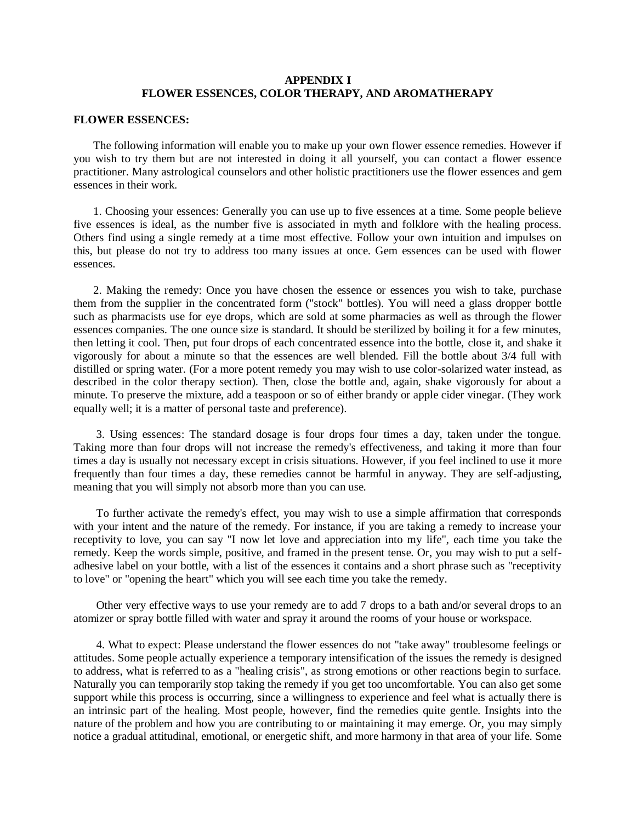# **APPENDIX I FLOWER ESSENCES, COLOR THERAPY, AND AROMATHERAPY**

## **FLOWER ESSENCES:**

 The following information will enable you to make up your own flower essence remedies. However if you wish to try them but are not interested in doing it all yourself, you can contact a flower essence practitioner. Many astrological counselors and other holistic practitioners use the flower essences and gem essences in their work.

 1. Choosing your essences: Generally you can use up to five essences at a time. Some people believe five essences is ideal, as the number five is associated in myth and folklore with the healing process. Others find using a single remedy at a time most effective. Follow your own intuition and impulses on this, but please do not try to address too many issues at once. Gem essences can be used with flower essences.

 2. Making the remedy: Once you have chosen the essence or essences you wish to take, purchase them from the supplier in the concentrated form ("stock" bottles). You will need a glass dropper bottle such as pharmacists use for eye drops, which are sold at some pharmacies as well as through the flower essences companies. The one ounce size is standard. It should be sterilized by boiling it for a few minutes, then letting it cool. Then, put four drops of each concentrated essence into the bottle, close it, and shake it vigorously for about a minute so that the essences are well blended. Fill the bottle about 3/4 full with distilled or spring water. (For a more potent remedy you may wish to use color-solarized water instead, as described in the color therapy section). Then, close the bottle and, again, shake vigorously for about a minute. To preserve the mixture, add a teaspoon or so of either brandy or apple cider vinegar. (They work equally well; it is a matter of personal taste and preference).

 3. Using essences: The standard dosage is four drops four times a day, taken under the tongue. Taking more than four drops will not increase the remedy's effectiveness, and taking it more than four times a day is usually not necessary except in crisis situations. However, if you feel inclined to use it more frequently than four times a day, these remedies cannot be harmful in anyway. They are self-adjusting, meaning that you will simply not absorb more than you can use.

 To further activate the remedy's effect, you may wish to use a simple affirmation that corresponds with your intent and the nature of the remedy. For instance, if you are taking a remedy to increase your receptivity to love, you can say "I now let love and appreciation into my life", each time you take the remedy. Keep the words simple, positive, and framed in the present tense. Or, you may wish to put a selfadhesive label on your bottle, with a list of the essences it contains and a short phrase such as "receptivity to love" or "opening the heart" which you will see each time you take the remedy.

 Other very effective ways to use your remedy are to add 7 drops to a bath and/or several drops to an atomizer or spray bottle filled with water and spray it around the rooms of your house or workspace.

 4. What to expect: Please understand the flower essences do not "take away" troublesome feelings or attitudes. Some people actually experience a temporary intensification of the issues the remedy is designed to address, what is referred to as a "healing crisis", as strong emotions or other reactions begin to surface. Naturally you can temporarily stop taking the remedy if you get too uncomfortable. You can also get some support while this process is occurring, since a willingness to experience and feel what is actually there is an intrinsic part of the healing. Most people, however, find the remedies quite gentle. Insights into the nature of the problem and how you are contributing to or maintaining it may emerge. Or, you may simply notice a gradual attitudinal, emotional, or energetic shift, and more harmony in that area of your life. Some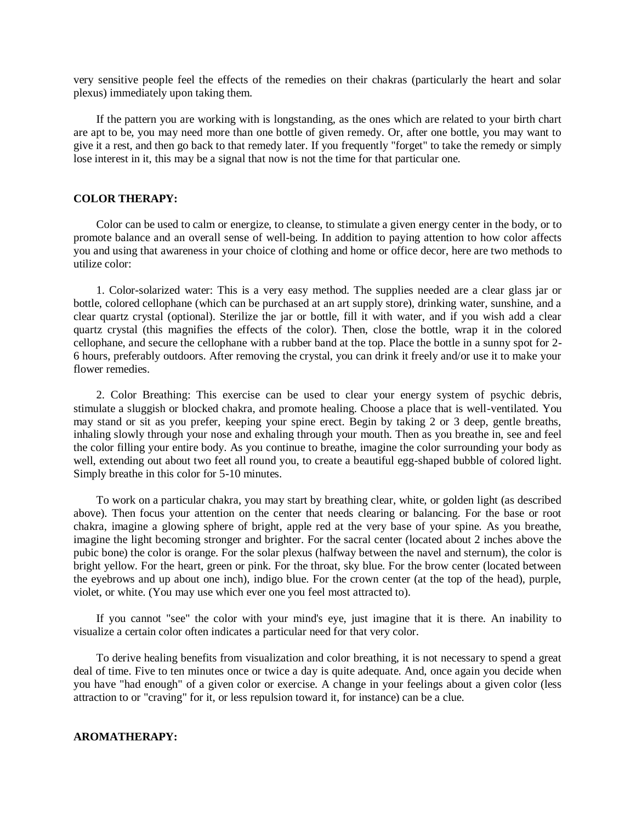very sensitive people feel the effects of the remedies on their chakras (particularly the heart and solar plexus) immediately upon taking them.

 If the pattern you are working with is longstanding, as the ones which are related to your birth chart are apt to be, you may need more than one bottle of given remedy. Or, after one bottle, you may want to give it a rest, and then go back to that remedy later. If you frequently "forget" to take the remedy or simply lose interest in it, this may be a signal that now is not the time for that particular one.

#### **COLOR THERAPY:**

 Color can be used to calm or energize, to cleanse, to stimulate a given energy center in the body, or to promote balance and an overall sense of well-being. In addition to paying attention to how color affects you and using that awareness in your choice of clothing and home or office decor, here are two methods to utilize color:

 1. Color-solarized water: This is a very easy method. The supplies needed are a clear glass jar or bottle, colored cellophane (which can be purchased at an art supply store), drinking water, sunshine, and a clear quartz crystal (optional). Sterilize the jar or bottle, fill it with water, and if you wish add a clear quartz crystal (this magnifies the effects of the color). Then, close the bottle, wrap it in the colored cellophane, and secure the cellophane with a rubber band at the top. Place the bottle in a sunny spot for 2- 6 hours, preferably outdoors. After removing the crystal, you can drink it freely and/or use it to make your flower remedies.

 2. Color Breathing: This exercise can be used to clear your energy system of psychic debris, stimulate a sluggish or blocked chakra, and promote healing. Choose a place that is well-ventilated. You may stand or sit as you prefer, keeping your spine erect. Begin by taking 2 or 3 deep, gentle breaths, inhaling slowly through your nose and exhaling through your mouth. Then as you breathe in, see and feel the color filling your entire body. As you continue to breathe, imagine the color surrounding your body as well, extending out about two feet all round you, to create a beautiful egg-shaped bubble of colored light. Simply breathe in this color for 5-10 minutes.

 To work on a particular chakra, you may start by breathing clear, white, or golden light (as described above). Then focus your attention on the center that needs clearing or balancing. For the base or root chakra, imagine a glowing sphere of bright, apple red at the very base of your spine. As you breathe, imagine the light becoming stronger and brighter. For the sacral center (located about 2 inches above the pubic bone) the color is orange. For the solar plexus (halfway between the navel and sternum), the color is bright yellow. For the heart, green or pink. For the throat, sky blue. For the brow center (located between the eyebrows and up about one inch), indigo blue. For the crown center (at the top of the head), purple, violet, or white. (You may use which ever one you feel most attracted to).

 If you cannot "see" the color with your mind's eye, just imagine that it is there. An inability to visualize a certain color often indicates a particular need for that very color.

 To derive healing benefits from visualization and color breathing, it is not necessary to spend a great deal of time. Five to ten minutes once or twice a day is quite adequate. And, once again you decide when you have "had enough" of a given color or exercise. A change in your feelings about a given color (less attraction to or "craving" for it, or less repulsion toward it, for instance) can be a clue.

# **AROMATHERAPY:**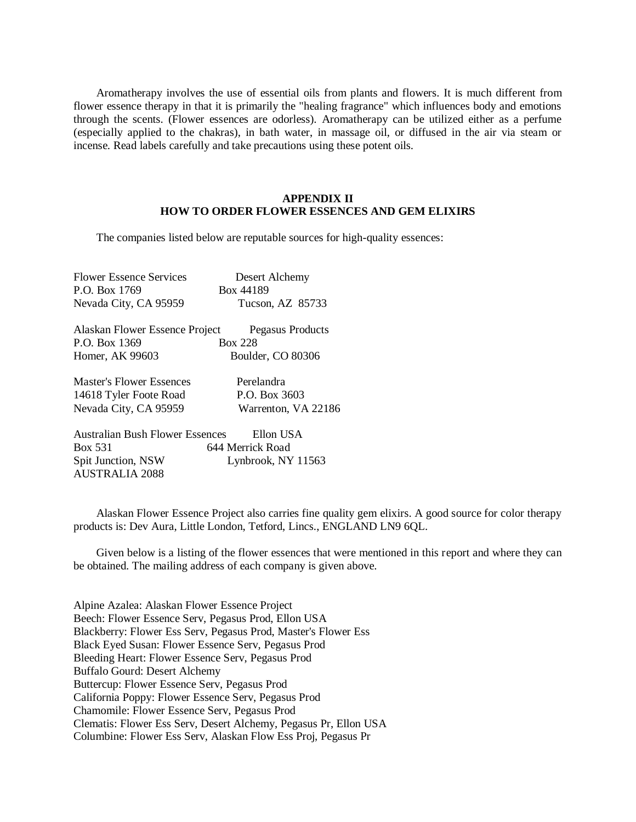Aromatherapy involves the use of essential oils from plants and flowers. It is much different from flower essence therapy in that it is primarily the "healing fragrance" which influences body and emotions through the scents. (Flower essences are odorless). Aromatherapy can be utilized either as a perfume (especially applied to the chakras), in bath water, in massage oil, or diffused in the air via steam or incense. Read labels carefully and take precautions using these potent oils.

# **APPENDIX II HOW TO ORDER FLOWER ESSENCES AND GEM ELIXIRS**

The companies listed below are reputable sources for high-quality essences:

| <b>Flower Essence Services</b>         | Desert Alchemy      |  |
|----------------------------------------|---------------------|--|
| P.O. Box 1769                          | Box 44189           |  |
| Nevada City, CA 95959                  | Tucson, AZ 85733    |  |
| Alaskan Flower Essence Project         | Pegasus Products    |  |
| P.O. Box 1369                          | <b>Box 228</b>      |  |
| Homer, AK 99603                        | Boulder, CO 80306   |  |
| Master's Flower Essences               | Perelandra          |  |
| 14618 Tyler Foote Road                 | P.O. Box 3603       |  |
| Nevada City, CA 95959                  | Warrenton, VA 22186 |  |
| <b>Australian Bush Flower Essences</b> | Ellon USA           |  |
| Box 531                                | 644 Merrick Road    |  |
| Spit Junction, NSW                     | Lynbrook, NY 11563  |  |

AUSTRALIA 2088

 Alaskan Flower Essence Project also carries fine quality gem elixirs. A good source for color therapy products is: Dev Aura, Little London, Tetford, Lincs., ENGLAND LN9 6QL.

 Given below is a listing of the flower essences that were mentioned in this report and where they can be obtained. The mailing address of each company is given above.

Alpine Azalea: Alaskan Flower Essence Project Beech: Flower Essence Serv, Pegasus Prod, Ellon USA Blackberry: Flower Ess Serv, Pegasus Prod, Master's Flower Ess Black Eyed Susan: Flower Essence Serv, Pegasus Prod Bleeding Heart: Flower Essence Serv, Pegasus Prod Buffalo Gourd: Desert Alchemy Buttercup: Flower Essence Serv, Pegasus Prod California Poppy: Flower Essence Serv, Pegasus Prod Chamomile: Flower Essence Serv, Pegasus Prod Clematis: Flower Ess Serv, Desert Alchemy, Pegasus Pr, Ellon USA Columbine: Flower Ess Serv, Alaskan Flow Ess Proj, Pegasus Pr